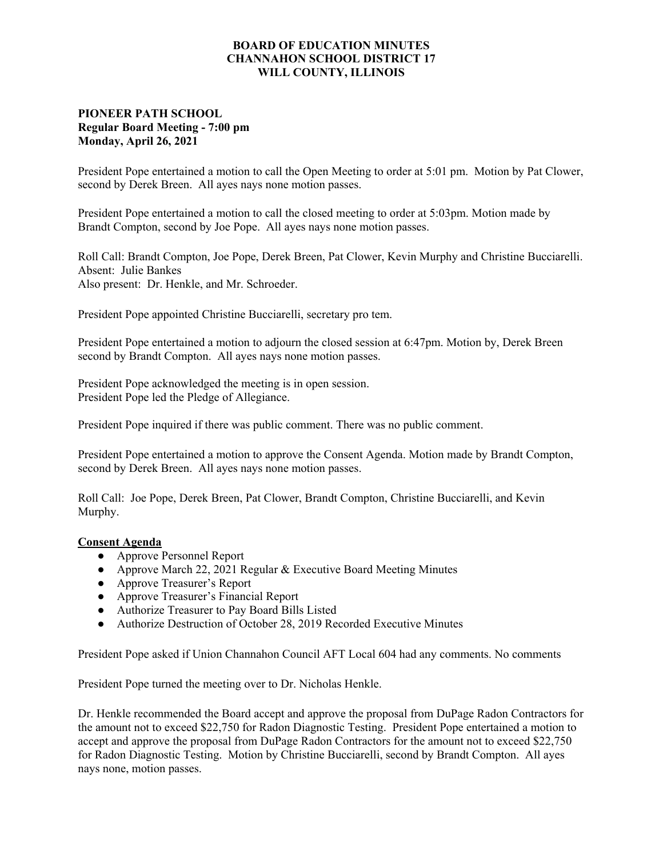## **BOARD OF EDUCATION MINUTES CHANNAHON SCHOOL DISTRICT 17 WILL COUNTY, ILLINOIS**

## **PIONEER PATH SCHOOL Regular Board Meeting - 7:00 pm Monday, April 26, 2021**

President Pope entertained a motion to call the Open Meeting to order at 5:01 pm. Motion by Pat Clower, second by Derek Breen. All ayes nays none motion passes.

President Pope entertained a motion to call the closed meeting to order at 5:03pm. Motion made by Brandt Compton, second by Joe Pope. All ayes nays none motion passes.

Roll Call: Brandt Compton, Joe Pope, Derek Breen, Pat Clower, Kevin Murphy and Christine Bucciarelli. Absent: Julie Bankes Also present: Dr. Henkle, and Mr. Schroeder.

President Pope appointed Christine Bucciarelli, secretary pro tem.

President Pope entertained a motion to adjourn the closed session at 6:47pm. Motion by, Derek Breen second by Brandt Compton. All ayes nays none motion passes.

President Pope acknowledged the meeting is in open session. President Pope led the Pledge of Allegiance.

President Pope inquired if there was public comment. There was no public comment.

President Pope entertained a motion to approve the Consent Agenda. Motion made by Brandt Compton, second by Derek Breen. All ayes nays none motion passes.

Roll Call: Joe Pope, Derek Breen, Pat Clower, Brandt Compton, Christine Bucciarelli, and Kevin Murphy.

## **Consent Agenda**

- **●** Approve Personnel Report
- **●** Approve March 22, 2021 Regular & Executive Board Meeting Minutes
- **●** Approve Treasurer's Report
- **●** Approve Treasurer's Financial Report
- **●** Authorize Treasurer to Pay Board Bills Listed
- **●** Authorize Destruction of October 28, 2019 Recorded Executive Minutes

President Pope asked if Union Channahon Council AFT Local 604 had any comments. No comments

President Pope turned the meeting over to Dr. Nicholas Henkle.

Dr. Henkle recommended the Board accept and approve the proposal from DuPage Radon Contractors for the amount not to exceed \$22,750 for Radon Diagnostic Testing. President Pope entertained a motion to accept and approve the proposal from DuPage Radon Contractors for the amount not to exceed \$22,750 for Radon Diagnostic Testing. Motion by Christine Bucciarelli, second by Brandt Compton. All ayes nays none, motion passes.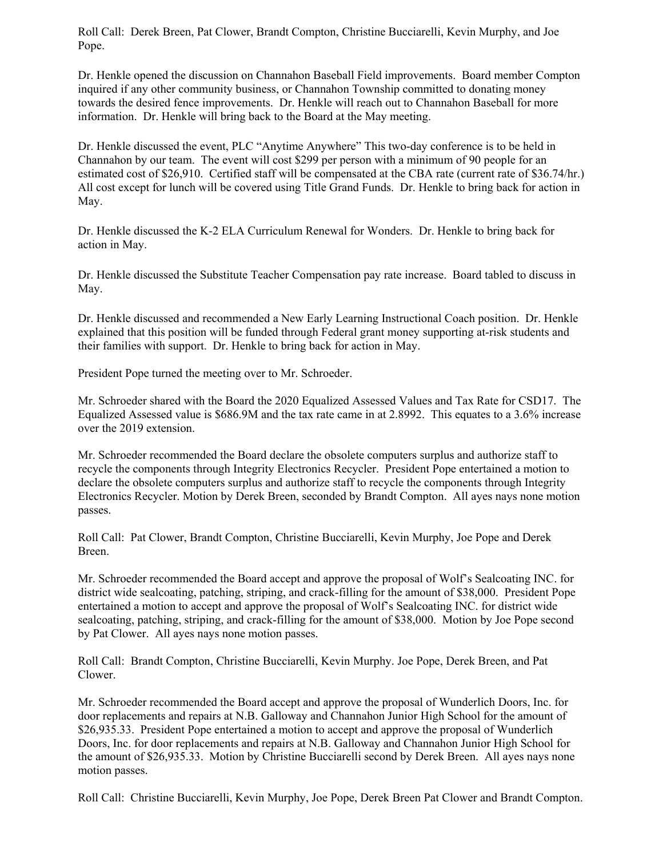Roll Call: Derek Breen, Pat Clower, Brandt Compton, Christine Bucciarelli, Kevin Murphy, and Joe Pope.

Dr. Henkle opened the discussion on Channahon Baseball Field improvements. Board member Compton inquired if any other community business, or Channahon Township committed to donating money towards the desired fence improvements. Dr. Henkle will reach out to Channahon Baseball for more information. Dr. Henkle will bring back to the Board at the May meeting.

Dr. Henkle discussed the event, PLC "Anytime Anywhere" This two-day conference is to be held in Channahon by our team. The event will cost \$299 per person with a minimum of 90 people for an estimated cost of \$26,910. Certified staff will be compensated at the CBA rate (current rate of \$36.74/hr.) All cost except for lunch will be covered using Title Grand Funds. Dr. Henkle to bring back for action in May.

Dr. Henkle discussed the K-2 ELA Curriculum Renewal for Wonders. Dr. Henkle to bring back for action in May.

Dr. Henkle discussed the Substitute Teacher Compensation pay rate increase. Board tabled to discuss in May.

Dr. Henkle discussed and recommended a New Early Learning Instructional Coach position. Dr. Henkle explained that this position will be funded through Federal grant money supporting at-risk students and their families with support. Dr. Henkle to bring back for action in May.

President Pope turned the meeting over to Mr. Schroeder.

Mr. Schroeder shared with the Board the 2020 Equalized Assessed Values and Tax Rate for CSD17. The Equalized Assessed value is \$686.9M and the tax rate came in at 2.8992. This equates to a 3.6% increase over the 2019 extension.

Mr. Schroeder recommended the Board declare the obsolete computers surplus and authorize staff to recycle the components through Integrity Electronics Recycler. President Pope entertained a motion to declare the obsolete computers surplus and authorize staff to recycle the components through Integrity Electronics Recycler. Motion by Derek Breen, seconded by Brandt Compton. All ayes nays none motion passes.

Roll Call: Pat Clower, Brandt Compton, Christine Bucciarelli, Kevin Murphy, Joe Pope and Derek Breen.

Mr. Schroeder recommended the Board accept and approve the proposal of Wolf's Sealcoating INC. for district wide sealcoating, patching, striping, and crack-filling for the amount of \$38,000. President Pope entertained a motion to accept and approve the proposal of Wolf's Sealcoating INC. for district wide sealcoating, patching, striping, and crack-filling for the amount of \$38,000. Motion by Joe Pope second by Pat Clower. All ayes nays none motion passes.

Roll Call: Brandt Compton, Christine Bucciarelli, Kevin Murphy. Joe Pope, Derek Breen, and Pat Clower.

Mr. Schroeder recommended the Board accept and approve the proposal of Wunderlich Doors, Inc. for door replacements and repairs at N.B. Galloway and Channahon Junior High School for the amount of \$26,935.33. President Pope entertained a motion to accept and approve the proposal of Wunderlich Doors, Inc. for door replacements and repairs at N.B. Galloway and Channahon Junior High School for the amount of \$26,935.33. Motion by Christine Bucciarelli second by Derek Breen. All ayes nays none motion passes.

Roll Call: Christine Bucciarelli, Kevin Murphy, Joe Pope, Derek Breen Pat Clower and Brandt Compton.